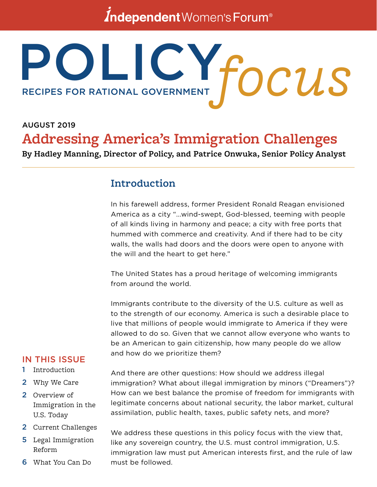# *Independent Women's Forum<sup>®</sup>*

# POLICY. RECIPES FOR RATIONAL GOVERNMENT **focus**

# AUGUST 2019 **Addressing America's Immigration Challenges**

**By Hadley Manning, Director of Policy, and Patrice Onwuka, Senior Policy Analyst**

# **Introduction**

In his farewell address, former President Ronald Reagan envisioned America as a city "...wind-swept, God-blessed, teeming with people of all kinds living in harmony and peace; a city with free ports that hummed with commerce and creativity. And if there had to be city walls, the walls had doors and the doors were open to anyone with the will and the heart to get here."

The United States has a proud heritage of welcoming immigrants from around the world.

Immigrants contribute to the diversity of the U.S. culture as well as to the strength of our economy. America is such a desirable place to live that millions of people would immigrate to America if they were allowed to do so. Given that we cannot allow everyone who wants to be an American to gain citizenship, how many people do we allow and how do we prioritize them?

## IN THIS ISSUE

#### 1 Introduction

- 2 Why We Care
- 2 Overview of Immigration in the U.S. Today
- 2 Current Challenges
- 5 Legal Immigration Reform
- 6 What You Can Do

And there are other questions: How should we address illegal immigration? What about illegal immigration by minors ("Dreamers")? How can we best balance the promise of freedom for immigrants with legitimate concerns about national security, the labor market, cultural assimilation, public health, taxes, public safety nets, and more?

We address these questions in this policy focus with the view that, like any sovereign country, the U.S. must control immigration, U.S. immigration law must put American interests first, and the rule of law must be followed.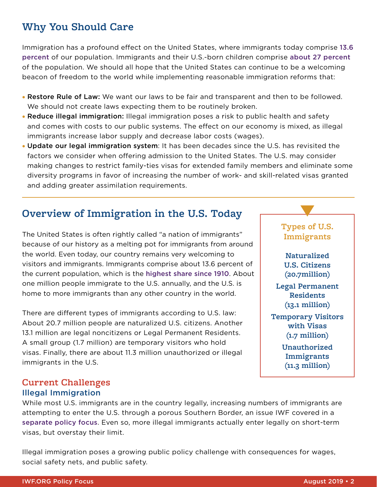# **Why You Should Care**

Immigration has a profound effect on the United States, where immigrants today comprise [13.6](https://www.pewresearch.org/fact-tank/2019/06/17/key-findings-about-u-s-immigrants/ft_19-06-17_keyfindingsimmigrants_immigrant-share-us-population-nears-historic-high_corrected/)  [percent](https://www.pewresearch.org/fact-tank/2019/06/17/key-findings-about-u-s-immigrants/ft_19-06-17_keyfindingsimmigrants_immigrant-share-us-population-nears-historic-high_corrected/) of our population. Immigrants and their U.S.-born children comprise [about 27 percent](https://www.migrationpolicy.org/print/16099#.XUiGlJNKi1t) of the population. We should all hope that the United States can continue to be a welcoming beacon of freedom to the world while implementing reasonable immigration reforms that:

- Restore Rule of Law: We want our laws to be fair and transparent and then to be followed. We should not create laws expecting them to be routinely broken.
- Reduce illegal immigration: Illegal immigration poses a risk to public health and safety and comes with costs to our public systems. The effect on our economy is mixed, as illegal immigrants increase labor supply and decrease labor costs (wages).
- Update our legal immigration system: It has been decades since the U.S. has revisited the factors we consider when offering admission to the United States. The U.S. may consider making changes to restrict family-ties visas for extended family members and eliminate some diversity programs in favor of increasing the number of work- and skill-related visas granted and adding greater assimilation requirements.

# **Overview of Immigration in the U.S. Today**

The United States is often rightly called "a nation of immigrants" because of our history as a melting pot for immigrants from around the world. Even today, our country remains very welcoming to visitors and immigrants. Immigrants comprise about 13.6 percent of the current population, which is the [highest share since 1910](https://www.pewresearch.org/fact-tank/2019/06/17/key-findings-about-u-s-immigrants/). About one million people immigrate to the U.S. annually, and the U.S. is home to more immigrants than any other country in the world.

There are different types of immigrants according to U.S. law: About 20.7 million people are naturalized U.S. citizens. Another 13.1 million are legal noncitizens or Legal Permanent Residents. A small group (1.7 million) are temporary visitors who hold visas. Finally, there are about 11.3 million unauthorized or illegal immigrants in the U.S.

#### **Current Challenges**  Illegal Immigration

While most U.S. immigrants are in the country legally, increasing numbers of immigrants are attempting to enter the U.S. through a porous Southern Border, an issue IWF covered in a [separate policy focus](http://pdf.iwf.org/Crisis_US_Border.pdf). Even so, more illegal immigrants actually enter legally on short-term visas, but overstay their limit.

Illegal immigration poses a growing public policy challenge with consequences for wages, social safety nets, and public safety.

## **Types of U.S. Immigrants**

**Naturalized U.S. Citizens (20.7million)**

**Legal Permanent Residents (13.1 million)**

**Temporary Visitors with Visas (1.7 million)**

> **Unauthorized Immigrants (11.3 million)**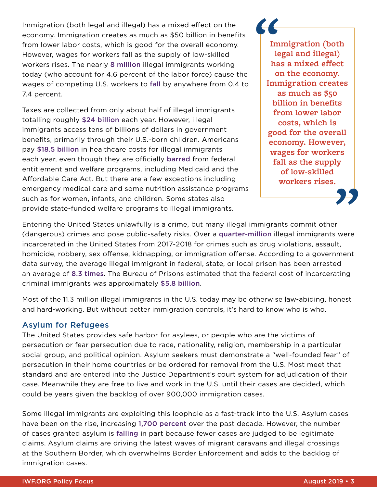Immigration (both legal and illegal) has a mixed effect on the economy. Immigration creates as much as \$50 billion in benefits from lower labor costs, which is good for the overall economy. However, wages for workers fall as the supply of low-skilled workers rises. The nearly [8 million](https://www.pewresearch.org/fact-tank/2019/06/17/key-findings-about-u-s-immigrants/) illegal immigrants working today (who account for 4.6 percent of the labor force) cause the wages of competing U.S. workers to [fall](https://nyti.ms/2K7kV38) by anywhere from 0.4 to 7.4 percent.

Taxes are collected from only about half of illegal immigrants totalling roughly [\\$24 billion](https://taxpayeradvocate.irs.gov/Media/Default/Documents/2015ARC/ARC15_Volume1_MSP_18_ITIN.pdf) each year. However, illegal immigrants access tens of billions of dollars in government benefits, primarily through their U.S.-born children. Americans pay [\\$18.5 billion](https://www.forbes.com/sites/theapothecary/2018/02/26/how-american-citizens-finance-health-care-for-undocumented-immigrants/#675afeed12c4) in healthcare costs for illegal immigrants each year, even though they are officially [barred](http://www.ncsl.org/research/immigration/federal-benefits-to-unauthorized-immigrants.aspx) from federal entitlement and welfare programs, including Medicaid and the Affordable Care Act. But there are a few exceptions including emergency medical care and some nutrition assistance programs such as for women, infants, and children. Some states also provide state-funded welfare programs to illegal immigrants.

**Immigration (both legal and illegal) has a mixed effect on the economy. Immigration creates as much as \$50 billion in benefits from lower labor costs, which is good for the overall economy. However, wages for workers fall as the supply of low-skilled workers rises.** 

Entering the United States unlawfully is a crime, but many illegal immigrants commit other (dangerous) crimes and pose public-safety risks. Over a [quarter-million](https://www.ice.gov/doclib/about/offices/ero/pdf/eroFY2018Report.pdf#page=4) illegal immigrants were incarcerated in the United States from 2017-2018 for crimes such as drug violations, assault, homicide, robbery, sex offense, kidnapping, or immigration offense. According to a government data survey, the average illegal immigrant in federal, state, or local prison has been arrested an average of [8.3 times](https://www.gao.gov/assets/100/93167.pdf). The Bureau of Prisons estimated that the federal cost of incarcerating criminal immigrants was approximately [\\$5.8 billion](https://www.gao.gov/assets/100/93090.pdf).

Most of the 11.3 million illegal immigrants in the U.S. today may be otherwise law-abiding, honest and hard-working. But without better immigration controls, it's hard to know who is who.

#### Asylum for Refugees

The United States provides safe harbor for asylees, or people who are the victims of persecution or fear persecution due to race, nationality, religion, membership in a particular social group, and political opinion. Asylum seekers must demonstrate a "well-founded fear" of persecution in their home countries or be ordered for removal from the U.S. Most meet that standard and are entered into the Justice Department's court system for adjudication of their case. Meanwhile they are free to live and work in the U.S. until their cases are decided, which could be years given the backlog of over 900,000 immigration cases.

Some illegal immigrants are exploiting this loophole as a fast-track into the U.S. Asylum cases have been on the rise, increasing [1,700 percent](https://www.dhs.gov/immigration-statistics/readingroom/RFA/credible-fear-cases-interview) over the past decade. However, the number of cases granted asylum is [falling](https://trac.syr.edu/immigration/reports/539/) in part because fewer cases are judged to be legitimate claims. Asylum claims are driving the latest waves of migrant caravans and illegal crossings at the Southern Border, which overwhelms Border Enforcement and adds to the backlog of immigration cases.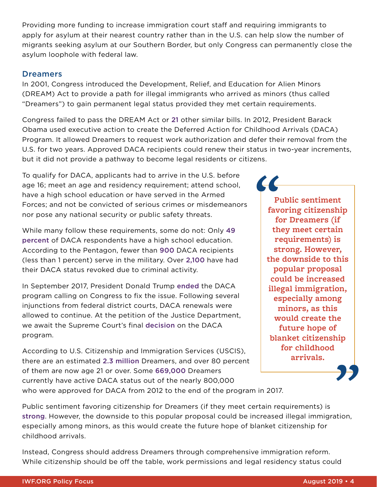Providing more funding to increase immigration court staff and requiring immigrants to apply for asylum at their nearest country rather than in the U.S. can help slow the number of migrants seeking asylum at our Southern Border, but only Congress can permanently close the asylum loophole with federal law.

#### **Dreamers**

In 2001, Congress introduced the Development, Relief, and Education for Alien Minors (DREAM) Act to provide a path for illegal immigrants who arrived as minors (thus called "Dreamers") to gain permanent legal status provided they met certain requirements.

Congress failed to pass the DREAM Act or [21](https://www.lawlogix.com/what-is-the-dream-act-and-who-are-dreamers/) other similar bills. In 2012, President Barack Obama used executive action to create the Deferred Action for Childhood Arrivals (DACA) Program. It allowed Dreamers to request work authorization and defer their removal from the U.S. for two years. Approved DACA recipients could renew their status in two-year increments, but it did not provide a pathway to become legal residents or citizens.

To qualify for DACA, applicants had to arrive in the U.S. before age 16; meet an age and residency requirement; attend school, have a high school education or have served in the Armed Forces; and not be convicted of serious crimes or misdemeanors nor pose any national security or public safety threats.

While many follow these requirements, some do not: Only [49](https://cdn.americanprogress.org/content/uploads/2017/11/02125251/2017_DACA_study_economic_report_updated.pdf)  [percent](https://cdn.americanprogress.org/content/uploads/2017/11/02125251/2017_DACA_study_economic_report_updated.pdf) of DACA respondents have a high school education. According to the Pentagon, fewer than [900](https://www.cbsnews.com/news/pentagon-says-daca-recipients-in-military-number-fewer-than-900/) DACA recipients (less than 1 percent) serve in the military. Over [2,100](https://www.washingtonexaminer.com/feds-30-surge-in-illegals-losing-daca-freedom-for-crimes-gang-violence) have had their DACA status revoked due to criminal activity.

In September 2017, President Donald Trump [ended](https://www.npr.org/2017/09/05/546423550/trump-signals-end-to-daca-calls-on-congress-to-act) the DACA program calling on Congress to fix the issue. Following several injunctions from federal district courts, DACA renewals were allowed to continue. At the petition of the Justice Department, we await the Supreme Court's final [decision](https://www.politico.com/story/2018/11/05/trump-administration-supreme-court-daca-927891) on the DACA program.

According to U.S. Citizenship and Immigration Services (USCIS), there are an estimated [2.3 million](https://www.uscis.gov/sites/default/files/USCIS/Resources/Reports%20and%20Studies/Immigration%20Forms%20Data/All%20Form%20Types/DACA/DACA_FY19_Q3_APR_FINAL.pdf) Dreamers, and over 80 percent of them are now age 21 or over. Some [669,000](https://www.uscis.gov/sites/default/files/USCIS/Resources/Reports%20and%20Studies/Immigration%20Forms%20Data/All%20Form%20Types/DACA/Approximate_Active_DACA_Recipients_Demographics_-_Apr_30_2019.pdf) Dreamers currently have active DACA status out of the nearly 800,000 who were approved for DACA from 2012 to the end of the program in 2017.

**Public sentiment favoring citizenship for Dreamers (if they meet certain requirements) is [strong.](https://news.gallup.com/poll/235775/americans-oppose-border-walls-favor-dealing-daca.aspx) However, the downside to this popular proposal could be increased illegal immigration, especially among minors, as this would create the future hope of blanket citizenship for childhood arrivals.** 

Public sentiment favoring citizenship for Dreamers (if they meet certain requirements) is [strong](https://news.gallup.com/poll/235775/americans-oppose-border-walls-favor-dealing-daca.aspx). However, the downside to this popular proposal could be increased illegal immigration, especially among minors, as this would create the future hope of blanket citizenship for childhood arrivals.

Instead, Congress should address Dreamers through comprehensive immigration reform. While citizenship should be off the table, work permissions and legal residency status could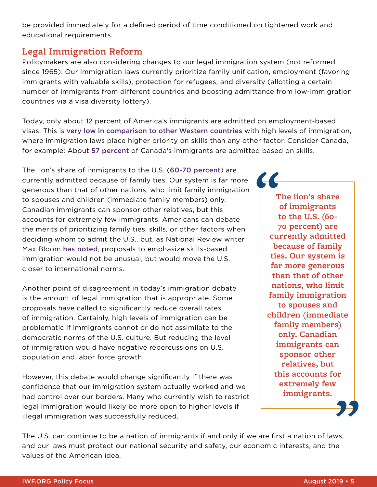be provided immediately for a defined period of time conditioned on tightened work and educational requirements.

## **Legal Immigration Reform**

Policymakers are also considering changes to our legal immigration system (not reformed since 1965). Our immigration laws currently prioritize family unification, employment (favoring immigrants with valuable skills), protection for refugees, and diversity (allotting a certain number of immigrants from different countries and boosting admittance from low-immigration countries via a visa diversity lottery).

Today, only about 12 percent of America's immigrants are admitted on employment-based visas. This is [very low in comparison to other Western countries](https://www.nationalreview.com/2017/08/skill-based-immigration-international-norm/?target=topic&tid=1072) with high levels of immigration, where immigration laws place higher priority on skills than any other factor. Consider Canada, for example: About [57 percent](https://www.reuters.com/article/us-canada-immigration-factbox-idUSKBN1AI2UU?il=0) of Canada's immigrants are admitted based on skills.

The lion's share of immigrants to the U.S. ([60-](https://www.cbsnews.com/news/what-is-chain-migration-definition-visa-trump-administration-family-reunification/)[70 percent](https://www.whitehouse.gov/articles/president-trumps-bold-immigration-plan-21st-century/)) are currently admitted because of family ties. Our system is far more generous than that of other nations, who limit family immigration to spouses and children (immediate family members) only. Canadian immigrants can sponsor other relatives, but this accounts for extremely few immigrants. Americans can debate the merits of prioritizing family ties, skills, or other factors when deciding whom to admit the U.S., but, as National Review writer Max Bloom [has noted](https://www.nationalreview.com/2017/08/skill-based-immigration-international-norm/), proposals to emphasize skills-based immigration would not be unusual, but would move the U.S. closer to international norms.

Another point of disagreement in today's immigration debate is the amount of legal immigration that is appropriate. Some proposals have called to significantly reduce overall rates of immigration. Certainly, high levels of immigration can be problematic if immigrants cannot or do not assimilate to the democratic norms of the U.S. culture. But reducing the level of immigration would have negative repercussions on U.S. population and labor force growth.

However, this debate would change significantly if there was confidence that our immigration system actually worked and we had control over our borders. Many who currently wish to restrict legal immigration would likely be more open to higher levels if illegal immigration was successfully reduced.

**The lion's share of immigrants to the U.S. [\(60-](https://www.cbsnews.com/news/what-is-chain-migration-definition-visa-trump-administration-family-reunification/) [70 percent\)](https://www.whitehouse.gov/articles/president-trumps-bold-immigration-plan-21st-century/) are currently admitted because of family ties. Our system is far more generous than that of other nations, who limit family immigration to spouses and children (immediate family members) only. Canadian immigrants can sponsor other relatives, but this accounts for extremely few immigrants.**

**COLLEGE** 

The U.S. can continue to be a nation of immigrants if and only if we are first a nation of laws, and our laws must protect our national security and safety, our economic interests, and the values of the American idea.